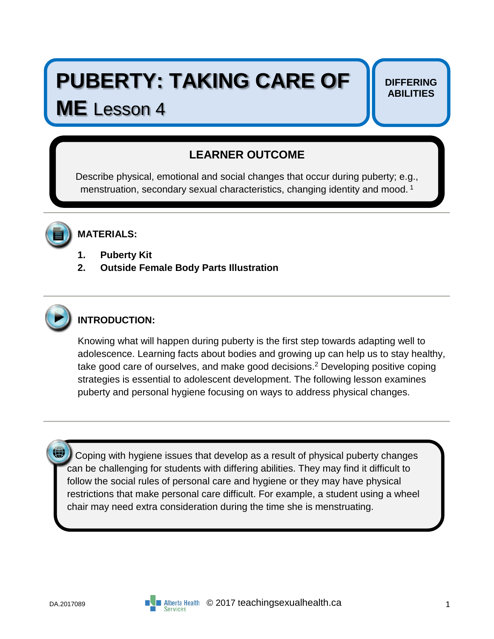# **PUBERTY: TAKING CARE OF**

## **ME** Lesson 4

#### **DIFFERING ABILITIES**

## **LEARNER OUTCOME**

Describe physical, emotional and social changes that occur during puberty; e.g., menstruation, secondary sexual characteristics, changing identity and mood.<sup>1</sup>



### **MATERIALS:**

- **1. Puberty Kit**
- **2. Outside Female Body Parts Illustration**



## **INTRODUCTION:**

Knowing what will happen during puberty is the first step towards adapting well to adolescence. Learning facts about bodies and growing up can help us to stay healthy, take good care of ourselves, and make good decisions.<sup>2</sup> Developing positive coping strategies is essential to adolescent development. The following lesson examines puberty and personal hygiene focusing on ways to address physical changes.

Coping with hygiene issues that develop as a result of physical puberty changes can be challenging for students with differing abilities. They may find it difficult to follow the social rules of personal care and hygiene or they may have physical restrictions that make personal care difficult. For example, a student using a wheel chair may need extra consideration during the time she is menstruating.

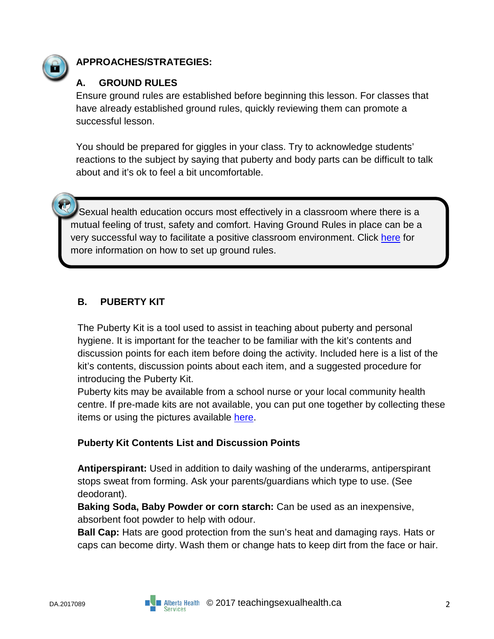

### **APPROACHES/STRATEGIES:**

#### **A. GROUND RULES**

Ensure ground rules are established before beginning this lesson. For classes that have already established ground rules, quickly reviewing them can promote a successful lesson.

You should be prepared for giggles in your class. Try to acknowledge students' reactions to the subject by saying that puberty and body parts can be difficult to talk about and it's ok to feel a bit uncomfortable.

 Sexual health education occurs most effectively in a classroom where there is a mutual feeling of trust, safety and comfort. Having Ground Rules in place can be a very successful way to facilitate a positive classroom environment. Click [here](https://teachingsexualhealth.ca/teachers/sexual-health-education/understanding-your-role/get-prepared/ground-rules/) for more information on how to set up ground rules.

#### **B. PUBERTY KIT**

The Puberty Kit is a tool used to assist in teaching about puberty and personal hygiene. It is important for the teacher to be familiar with the kit's contents and discussion points for each item before doing the activity. Included here is a list of the kit's contents, discussion points about each item, and a suggested procedure for introducing the Puberty Kit.

Puberty kits may be available from a school nurse or your local community health centre. If pre-made kits are not available, you can put one together by collecting these items or using the pictures available [here.](https://teachingsexualhealth.ca/wp-content/uploads/2017/07/2017-Puberty-Kit-Pictures.pdf)

#### **Puberty Kit Contents List and Discussion Points**

**Antiperspirant:** Used in addition to daily washing of the underarms, antiperspirant stops sweat from forming. Ask your parents/guardians which type to use. (See deodorant).

**Baking Soda, Baby Powder or corn starch:** Can be used as an inexpensive, absorbent foot powder to help with odour.

**Ball Cap:** Hats are good protection from the sun's heat and damaging rays. Hats or caps can become dirty. Wash them or change hats to keep dirt from the face or hair.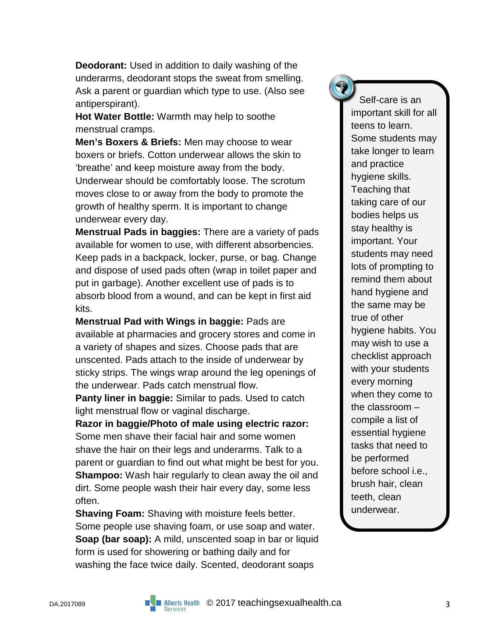**Deodorant:** Used in addition to daily washing of the underarms, deodorant stops the sweat from smelling. Ask a parent or guardian which type to use. (Also see antiperspirant).

**Hot Water Bottle:** Warmth may help to soothe menstrual cramps.

**Men's Boxers & Briefs:** Men may choose to wear boxers or briefs. Cotton underwear allows the skin to 'breathe' and keep moisture away from the body. Underwear should be comfortably loose. The scrotum moves close to or away from the body to promote the growth of healthy sperm. It is important to change underwear every day.

**Menstrual Pads in baggies:** There are a variety of pads available for women to use, with different absorbencies. Keep pads in a backpack, locker, purse, or bag. Change and dispose of used pads often (wrap in toilet paper and put in garbage). Another excellent use of pads is to absorb blood from a wound, and can be kept in first aid kits.

**Menstrual Pad with Wings in baggie:** Pads are available at pharmacies and grocery stores and come in a variety of shapes and sizes. Choose pads that are unscented. Pads attach to the inside of underwear by sticky strips. The wings wrap around the leg openings of the underwear. Pads catch menstrual flow.

**Panty liner in baggie:** Similar to pads. Used to catch light menstrual flow or vaginal discharge.

**Razor in baggie/Photo of male using electric razor:** Some men shave their facial hair and some women shave the hair on their legs and underarms. Talk to a parent or guardian to find out what might be best for you. **Shampoo:** Wash hair regularly to clean away the oil and dirt. Some people wash their hair every day, some less often.

**Shaving Foam:** Shaving with moisture feels better. Some people use shaving foam, or use soap and water. **Soap (bar soap):** A mild, unscented soap in bar or liquid form is used for showering or bathing daily and for washing the face twice daily. Scented, deodorant soaps

 Self-care is an important skill for all teens to learn. Some students may take longer to learn and practice hygiene skills. Teaching that taking care of our bodies helps us stay healthy is important. Your students may need lots of prompting to remind them about hand hygiene and the same may be true of other hygiene habits. You may wish to use a checklist approach with your students every morning when they come to the classroom – compile a list of essential hygiene tasks that need to be performed before school i.e., brush hair, clean teeth, clean underwear.

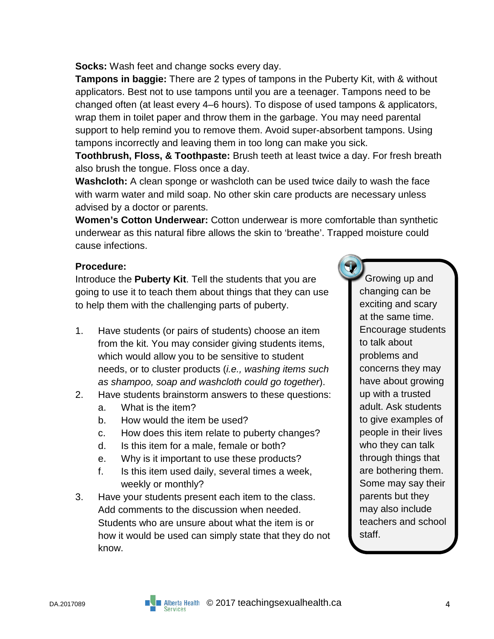#### **Socks:** Wash feet and change socks every day.

**Tampons in baggie:** There are 2 types of tampons in the Puberty Kit, with & without applicators. Best not to use tampons until you are a teenager. Tampons need to be changed often (at least every 4–6 hours). To dispose of used tampons & applicators, wrap them in toilet paper and throw them in the garbage. You may need parental support to help remind you to remove them. Avoid super-absorbent tampons. Using tampons incorrectly and leaving them in too long can make you sick.

**Toothbrush, Floss, & Toothpaste:** Brush teeth at least twice a day. For fresh breath also brush the tongue. Floss once a day.

**Washcloth:** A clean sponge or washcloth can be used twice daily to wash the face with warm water and mild soap. No other skin care products are necessary unless advised by a doctor or parents.

**Women's Cotton Underwear:** Cotton underwear is more comfortable than synthetic underwear as this natural fibre allows the skin to 'breathe'. Trapped moisture could cause infections.

#### **Procedure:**

Introduce the **Puberty Kit**. Tell the students that you are going to use it to teach them about things that they can use to help them with the challenging parts of puberty.

- 1. Have students (or pairs of students) choose an item from the kit. You may consider giving students items, which would allow you to be sensitive to student needs, or to cluster products (*i.e., washing items such as shampoo, soap and washcloth could go together*).
- 2. Have students brainstorm answers to these questions:
	- a. What is the item?
	- b. How would the item be used?
	- c. How does this item relate to puberty changes?
	- d. Is this item for a male, female or both?
	- e. Why is it important to use these products?
	- f. Is this item used daily, several times a week, weekly or monthly?
- 3. Have your students present each item to the class. Add comments to the discussion when needed. Students who are unsure about what the item is or how it would be used can simply state that they do not know.

 Growing up and changing can be exciting and scary at the same time. Encourage students to talk about problems and concerns they may have about growing up with a trusted adult. Ask students to give examples of people in their lives who they can talk through things that are bothering them. Some may say their parents but they may also include teachers and school staff.

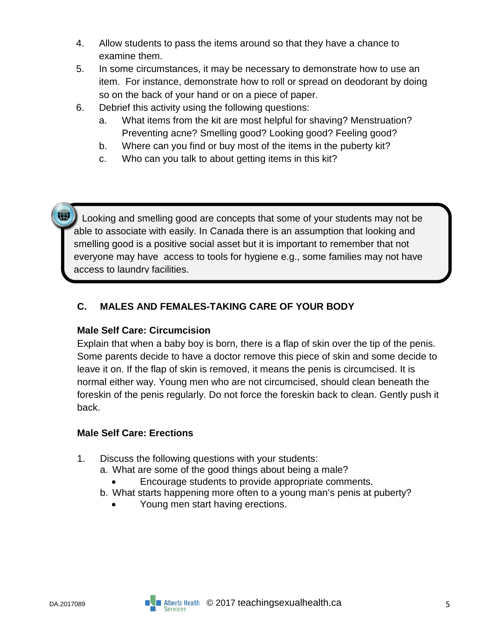- 4. Allow students to pass the items around so that they have a chance to examine them.
- 5. In some circumstances, it may be necessary to demonstrate how to use an item. For instance, demonstrate how to roll or spread on deodorant by doing so on the back of your hand or on a piece of paper.
- 6. Debrief this activity using the following questions:
	- a. What items from the kit are most helpful for shaving? Menstruation? Preventing acne? Smelling good? Looking good? Feeling good?
	- b. Where can you find or buy most of the items in the puberty kit?
	- c. Who can you talk to about getting items in this kit?

 Looking and smelling good are concepts that some of your students may not be able to associate with easily. In Canada there is an assumption that looking and smelling good is a positive social asset but it is important to remember that not everyone may have access to tools for hygiene e.g., some families may not have access to laundry facilities.

#### **C. MALES AND FEMALES-TAKING CARE OF YOUR BODY**

#### **Male Self Care: Circumcision**

Explain that when a baby boy is born, there is a flap of skin over the tip of the penis. Some parents decide to have a doctor remove this piece of skin and some decide to leave it on. If the flap of skin is removed, it means the penis is circumcised. It is normal either way. Young men who are not circumcised, should clean beneath the foreskin of the penis regularly. Do not force the foreskin back to clean. Gently push it back.

#### **Male Self Care: Erections**

- 1. Discuss the following questions with your students:
	- a. What are some of the good things about being a male?
		- Encourage students to provide appropriate comments.
	- b. What starts happening more often to a young man's penis at puberty?
		- Young men start having erections.

**GR** 

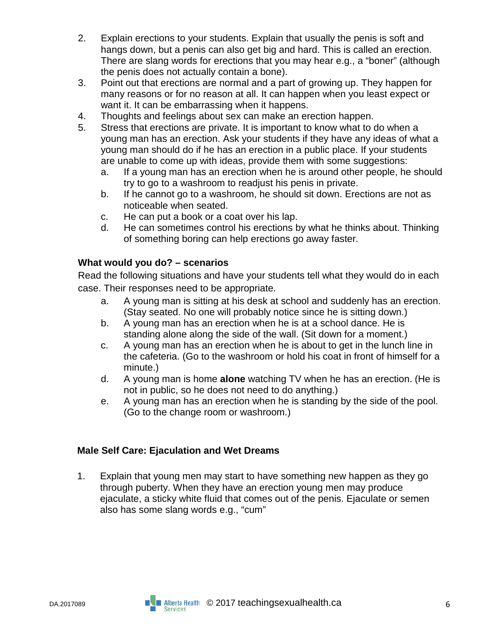- 2. Explain erections to your students. Explain that usually the penis is soft and hangs down, but a penis can also get big and hard. This is called an erection. There are slang words for erections that you may hear e.g., a "boner" (although the penis does not actually contain a bone).
- 3. Point out that erections are normal and a part of growing up. They happen for many reasons or for no reason at all. It can happen when you least expect or want it. It can be embarrassing when it happens.
- 4. Thoughts and feelings about sex can make an erection happen.
- 5. Stress that erections are private. It is important to know what to do when a young man has an erection. Ask your students if they have any ideas of what a young man should do if he has an erection in a public place. If your students are unable to come up with ideas, provide them with some suggestions:
	- a. If a young man has an erection when he is around other people, he should try to go to a washroom to readjust his penis in private.
	- b. If he cannot go to a washroom, he should sit down. Erections are not as noticeable when seated.
	- c. He can put a book or a coat over his lap.
	- d. He can sometimes control his erections by what he thinks about. Thinking of something boring can help erections go away faster.

#### **What would you do? – scenarios**

Read the following situations and have your students tell what they would do in each case. Their responses need to be appropriate.

- a. A young man is sitting at his desk at school and suddenly has an erection. (Stay seated. No one will probably notice since he is sitting down.)
- b. A young man has an erection when he is at a school dance. He is standing alone along the side of the wall. (Sit down for a moment.)
- c. A young man has an erection when he is about to get in the lunch line in the cafeteria. (Go to the washroom or hold his coat in front of himself for a minute.)
- d. A young man is home **alone** watching TV when he has an erection. (He is not in public, so he does not need to do anything.)
- e. A young man has an erection when he is standing by the side of the pool. (Go to the change room or washroom.)

#### **Male Self Care: Ejaculation and Wet Dreams**

1. Explain that young men may start to have something new happen as they go through puberty. When they have an erection young men may produce ejaculate, a sticky white fluid that comes out of the penis. Ejaculate or semen also has some slang words e.g., "cum"

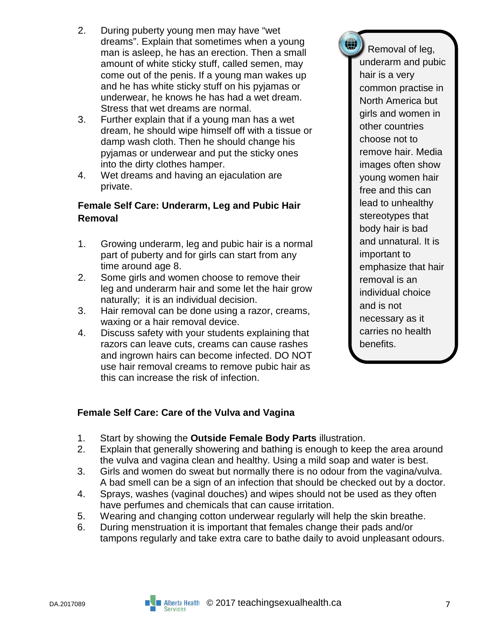- 2. During puberty young men may have "wet dreams". Explain that sometimes when a young man is asleep, he has an erection. Then a small amount of white sticky stuff, called semen, may come out of the penis. If a young man wakes up and he has white sticky stuff on his pyjamas or underwear, he knows he has had a wet dream. Stress that wet dreams are normal.
- 3. Further explain that if a young man has a wet dream, he should wipe himself off with a tissue or damp wash cloth. Then he should change his pyjamas or underwear and put the sticky ones into the dirty clothes hamper.
- 4. Wet dreams and having an ejaculation are private.

#### **Female Self Care: Underarm, Leg and Pubic Hair Removal**

- 1. Growing underarm, leg and pubic hair is a normal part of puberty and for girls can start from any time around age 8.
- 2. Some girls and women choose to remove their leg and underarm hair and some let the hair grow naturally; it is an individual decision.
- 3. Hair removal can be done using a razor, creams, waxing or a hair removal device.
- 4. Discuss safety with your students explaining that razors can leave cuts, creams can cause rashes and ingrown hairs can become infected. DO NOT use hair removal creams to remove pubic hair as this can increase the risk of infection.

 Removal of leg, underarm and pubic hair is a very common practise in North America but girls and women in other countries choose not to remove hair. Media images often show young women hair free and this can lead to unhealthy stereotypes that body hair is bad and unnatural. It is important to emphasize that hair removal is an individual choice and is not necessary as it carries no health benefits.

Щ.

#### **Female Self Care: Care of the Vulva and Vagina**

- 1. Start by showing the **Outside Female Body Parts** illustration.
- 2. Explain that generally showering and bathing is enough to keep the area around the vulva and vagina clean and healthy. Using a mild soap and water is best.
- 3. Girls and women do sweat but normally there is no odour from the vagina/vulva. A bad smell can be a sign of an infection that should be checked out by a doctor.
- 4. Sprays, washes (vaginal douches) and wipes should not be used as they often have perfumes and chemicals that can cause irritation.
- 5. Wearing and changing cotton underwear regularly will help the skin breathe.
- 6. During menstruation it is important that females change their pads and/or tampons regularly and take extra care to bathe daily to avoid unpleasant odours.

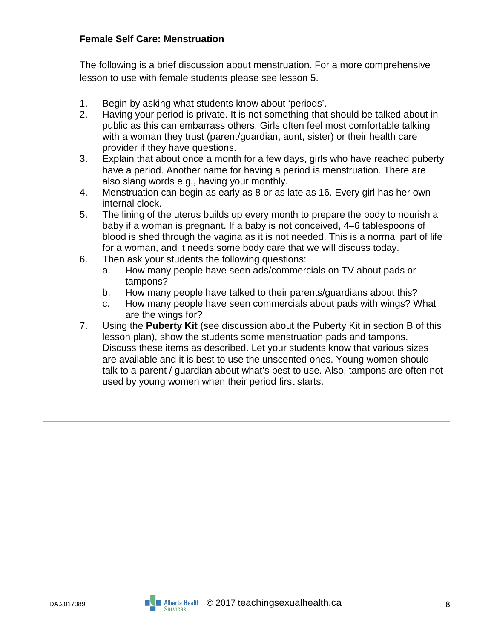#### **Female Self Care: Menstruation**

The following is a brief discussion about menstruation. For a more comprehensive lesson to use with female students please see lesson 5.

- 1. Begin by asking what students know about 'periods'.
- 2. Having your period is private. It is not something that should be talked about in public as this can embarrass others. Girls often feel most comfortable talking with a woman they trust (parent/guardian, aunt, sister) or their health care provider if they have questions.
- 3. Explain that about once a month for a few days, girls who have reached puberty have a period. Another name for having a period is menstruation. There are also slang words e.g., having your monthly.
- 4. Menstruation can begin as early as 8 or as late as 16. Every girl has her own internal clock.
- 5. The lining of the uterus builds up every month to prepare the body to nourish a baby if a woman is pregnant. If a baby is not conceived, 4–6 tablespoons of blood is shed through the vagina as it is not needed. This is a normal part of life for a woman, and it needs some body care that we will discuss today.
- 6. Then ask your students the following questions:
	- a. How many people have seen ads/commercials on TV about pads or tampons?
	- b. How many people have talked to their parents/guardians about this?
	- c. How many people have seen commercials about pads with wings? What are the wings for?
- 7. Using the **Puberty Kit** (see discussion about the Puberty Kit in section B of this lesson plan), show the students some menstruation pads and tampons. Discuss these items as described. Let your students know that various sizes are available and it is best to use the unscented ones. Young women should talk to a parent / guardian about what's best to use. Also, tampons are often not used by young women when their period first starts.

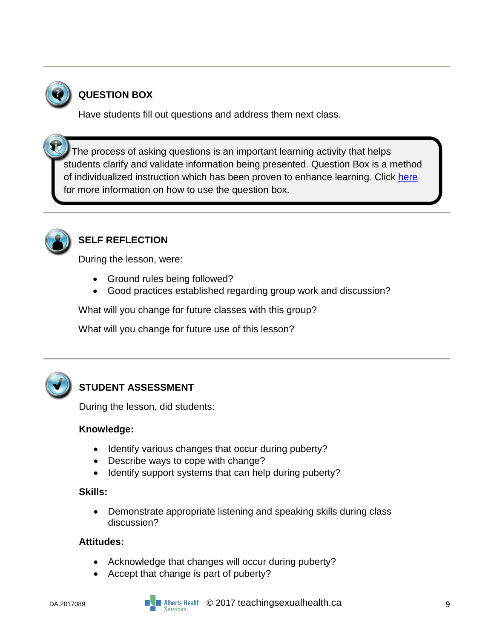

## **QUESTION BOX**

Have students fill out questions and address them next class.

 The process of asking questions is an important learning activity that helps students clarify and validate information being presented. Question Box is a method of individualized instruction which has been proven to enhance learning. Click [here](https://teachingsexualhealth.ca/teachers/sexual-health-education/responding-to-student-questions/) for more information on how to use the question box.



l

## **SELF REFLECTION**

During the lesson, were:

- Ground rules being followed?
- Good practices established regarding group work and discussion?

What will you change for future classes with this group?

What will you change for future use of this lesson?



## **STUDENT ASSESSMENT**

During the lesson, did students:

#### **Knowledge:**

- Identify various changes that occur during puberty?
- Describe ways to cope with change?
- Identify support systems that can help during puberty?

#### **Skills:**

• Demonstrate appropriate listening and speaking skills during class discussion?

#### **Attitudes:**

- Acknowledge that changes will occur during puberty?
- Accept that change is part of puberty?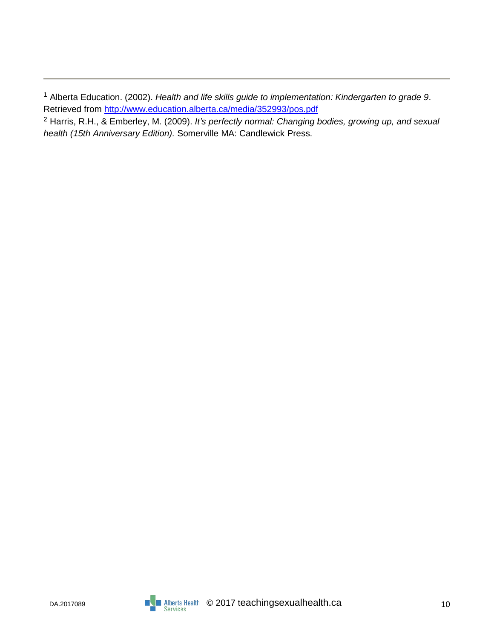<sup>1</sup> Alberta Education. (2002). *Health and life skills guide to implementation: Kindergarten to grade 9*. Retrieved from<http://www.education.alberta.ca/media/352993/pos.pdf>

<sup>2</sup> Harris, R.H., & Emberley, M. (2009). *It's perfectly normal: Changing bodies, growing up, and sexual health (15th Anniversary Edition).* Somerville MA: Candlewick Press.